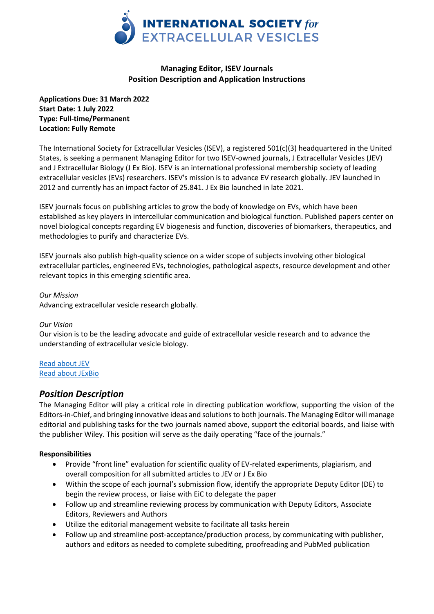

# **Managing Editor, ISEV Journals Position Description and Application Instructions**

**Applications Due: 31 March 2022 Start Date: 1 July 2022 Type: Full-time/Permanent Location: Fully Remote**

The International Society for Extracellular Vesicles (ISEV), a registered 501(c)(3) headquartered in the United States, is seeking a permanent Managing Editor for two ISEV-owned journals, J Extracellular Vesicles (JEV) and J Extracellular Biology (J Ex Bio). ISEV is an international professional membership society of leading extracellular vesicles (EVs) researchers. ISEV's mission is to advance EV research globally. JEV launched in 2012 and currently has an impact factor of 25.841. J Ex Bio launched in late 2021.

ISEV journals focus on publishing articles to grow the body of knowledge on EVs, which have been established as key players in intercellular communication and biological function. Published papers center on novel biological concepts regarding EV biogenesis and function, discoveries of biomarkers, therapeutics, and methodologies to purify and characterize EVs.

ISEV journals also publish high-quality science on a wider scope of subjects involving other biological extracellular particles, engineered EVs, technologies, pathological aspects, resource development and other relevant topics in this emerging scientific area.

*Our Mission* Advancing extracellular vesicle research globally.

## *Our Vision*

Our vision is to be the leading advocate and guide of extracellular vesicle research and to advance the understanding of extracellular vesicle biology.

[Read about JEV](https://onlinelibrary.wiley.com/journal/20013078) [Read about JExBio](https://onlinelibrary.wiley.com/journal/27682811)

# *Position Description*

The Managing Editor will play a critical role in directing publication workflow, supporting the vision of the Editors-in-Chief, and bringing innovative ideas and solutions to both journals. The Managing Editor will manage editorial and publishing tasks for the two journals named above, support the editorial boards, and liaise with the publisher Wiley. This position will serve as the daily operating "face of the journals."

## **Responsibilities**

- Provide "front line" evaluation for scientific quality of EV-related experiments, plagiarism, and overall composition for all submitted articles to JEV or J Ex Bio
- Within the scope of each journal's submission flow, identify the appropriate Deputy Editor (DE) to begin the review process, or liaise with EiC to delegate the paper
- Follow up and streamline reviewing process by communication with Deputy Editors, Associate Editors, Reviewers and Authors
- Utilize the editorial management website to facilitate all tasks herein
- Follow up and streamline post-acceptance/production process, by communicating with publisher, authors and editors as needed to complete subediting, proofreading and PubMed publication